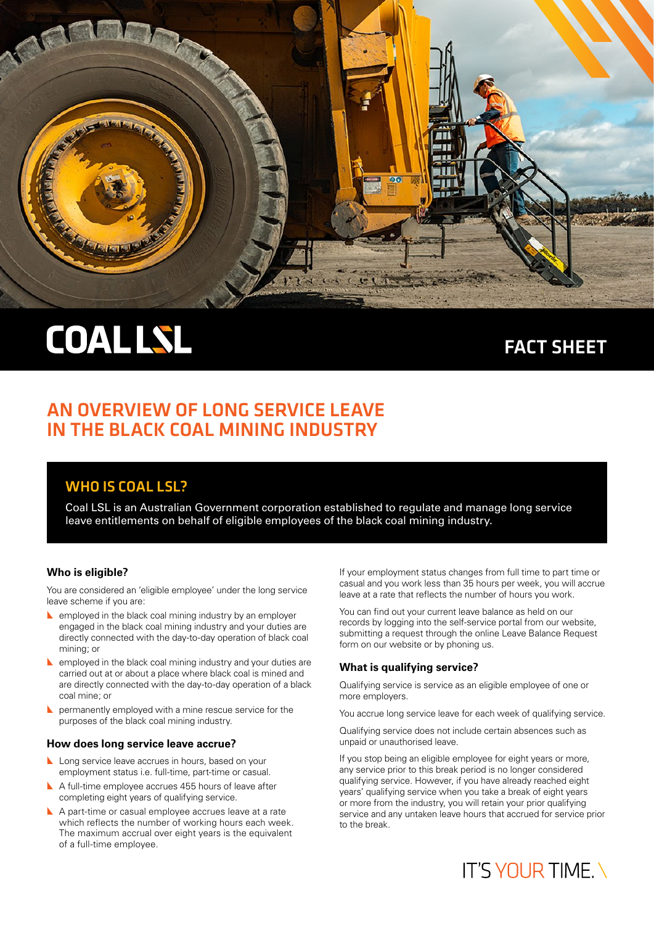

# **COAL LSL**

## FACT SHEET

### AN OVERVIEW OF LONG SERVICE LEAVE IN THE BLACK COAL MINING INDUSTRY

### WHO IS COAL LSL?

Coal LSL is an Australian Government corporation established to regulate and manage long service leave entitlements on behalf of eligible employees of the black coal mining industry.

### **Who is eligible?**

You are considered an 'eligible employee' under the long service leave scheme if you are:

- $\blacktriangle$  employed in the black coal mining industry by an employer engaged in the black coal mining industry and your duties are directly connected with the day-to-day operation of black coal mining; or
- $\blacktriangle$  employed in the black coal mining industry and your duties are carried out at or about a place where black coal is mined and are directly connected with the day-to-day operation of a black coal mine; or
- $\blacktriangleright$  permanently employed with a mine rescue service for the purposes of the black coal mining industry.

### **How does long service leave accrue?**

- **L** Long service leave accrues in hours, based on your employment status i.e. full-time, part-time or casual.
- A full-time employee accrues 455 hours of leave after completing eight years of qualifying service.
- A part-time or casual employee accrues leave at a rate which reflects the number of working hours each week. The maximum accrual over eight years is the equivalent of a full-time employee.

If your employment status changes from full time to part time or casual and you work less than 35 hours per week, you will accrue leave at a rate that reflects the number of hours you work.

You can find out your current leave balance as held on our records by logging into the self-service portal from our website, submitting a request through the online Leave Balance Request form on our website or by phoning us.

### **What is qualifying service?**

Qualifying service is service as an eligible employee of one or more employers.

You accrue long service leave for each week of qualifying service.

Qualifying service does not include certain absences such as unpaid or unauthorised leave.

If you stop being an eligible employee for eight years or more, any service prior to this break period is no longer considered qualifying service. However, if you have already reached eight years' qualifying service when you take a break of eight years or more from the industry, you will retain your prior qualifying service and any untaken leave hours that accrued for service prior to the break.